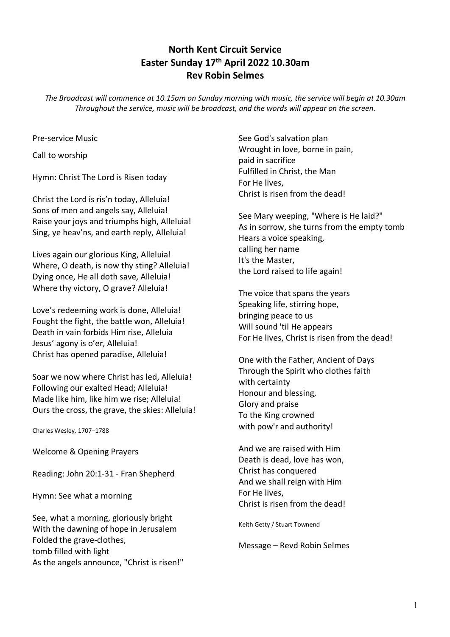## **North Kent Circuit Service Easter Sunday 17th April 2022 10.30am Rev Robin Selmes**

*The Broadcast will commence at 10.15am on Sunday morning with music, the service will begin at 10.30am Throughout the service, music will be broadcast, and the words will appear on the screen.*

Pre-service Music

Call to worship

Hymn: Christ The Lord is Risen today

Christ the Lord is ris'n today, Alleluia! Sons of men and angels say, Alleluia! Raise your joys and triumphs high, Alleluia! Sing, ye heav'ns, and earth reply, Alleluia!

Lives again our glorious King, Alleluia! Where, O death, is now thy sting? Alleluia! Dying once, He all doth save, Alleluia! Where thy victory, O grave? Alleluia!

Love's redeeming work is done, Alleluia! Fought the fight, the battle won, Alleluia! Death in vain forbids Him rise, Alleluia Jesus' agony is o'er, Alleluia! Christ has opened paradise, Alleluia!

Soar we now where Christ has led, Alleluia! Following our exalted Head; Alleluia! Made like him, like him we rise; Alleluia! Ours the cross, the grave, the skies: Alleluia!

Charles Wesley, 1707–1788

Welcome & Opening Prayers

Reading: John 20:1-31 - Fran Shepherd

Hymn: See what a morning

See, what a morning, gloriously bright With the dawning of hope in Jerusalem Folded the grave-clothes, tomb filled with light As the angels announce, "Christ is risen!" See God's salvation plan Wrought in love, borne in pain, paid in sacrifice Fulfilled in Christ, the Man For He lives, Christ is risen from the dead!

See Mary weeping, "Where is He laid?" As in sorrow, she turns from the empty tomb Hears a voice speaking, calling her name It's the Master, the Lord raised to life again!

The voice that spans the years Speaking life, stirring hope, bringing peace to us Will sound 'til He appears For He lives, Christ is risen from the dead!

One with the Father, Ancient of Days Through the Spirit who clothes faith with certainty Honour and blessing, Glory and praise To the King crowned with pow'r and authority!

And we are raised with Him Death is dead, love has won, Christ has conquered And we shall reign with Him For He lives, Christ is risen from the dead!

Keith Getty / Stuart Townend

Message – Revd Robin Selmes